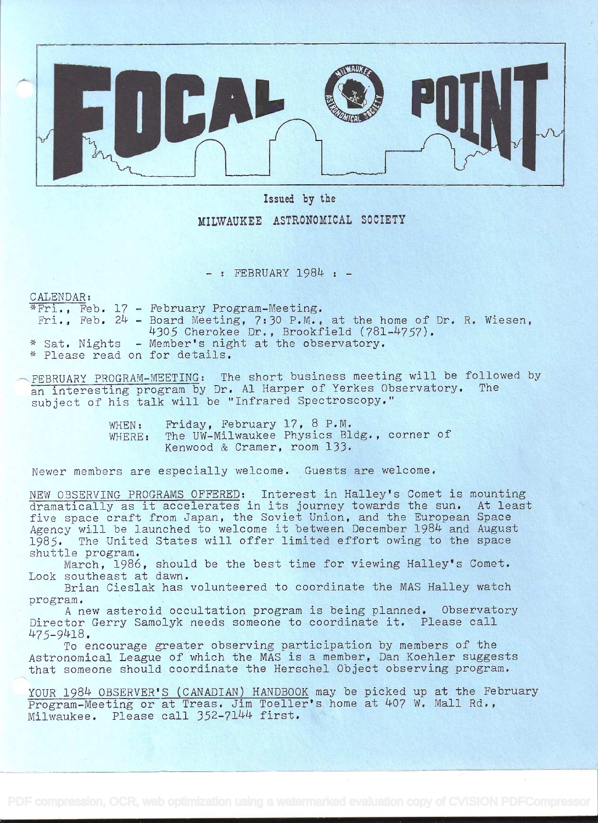

## Issued by the

MILWAUKEE ASTRONOMICAL SOCIETY

 $-$  : FEBRUARY 1984 :  $-$ 

CALENDAR:

4Fri., Feb, 17 - Fetruary Program-Meeting. Fri., Feb.  $24$  - Board Meeting, 7:30 P.M., at the home of Dr. R. Wiesen, 4305 Cherokee Dr., Brookfield (781-4757). \* Sat. Nights - Member's night at the observatory. \* Please read on for details.

FEBRUARY PROGRAM-MEETING: The short business meeting will be followed by an interesting program by Dr. Al Harper of Yerkes Observatory. subject of his talk will be "Infrared Spectroscopy."

> WHEN: Friday, February 17, 8 P.M. WHERE: The UW-Milwaukee Physics Bldg., corner of Kenwood & Cramer, room 133.

Newer members are especially welcome. Guests are welcome.

NEW OBSERVING PROGRAMS OFFERED: Interest in Halley's Comet is mounting dramatically as it accelerates in its journey towards the sun. At least five space craft from Japan, the Soviet Union, and the European Space Agency will be launched to welcome it between December 1984 and August 1985. The United States will offer limited effort owing to the space shuttle program.

March, 1986, should be the best time for viewing Halley's Comet. Look southeast at dawn.

Brian Cieslak has volunteered to coordinate the MAS Halley watch program.

A new asteroid occultation program is being planned. Observatory Director Gerry Samolyk needs someone to coordinate it. Please call 475-9418.

To encourage greater observing participation by members of the Astronomical League of' which the MAS is a member, Dan Koehier suggests that someone should coordinate the Herschel Object observing program.

YOUR 1984 OBSERVER'S (CANADIAN) HANDBOOK may be picked up at the February Program-Meeting or at Treas. Jim Toeller's home at 407 W. Mall Rd., Milwaukee. Please call 352-7144 first.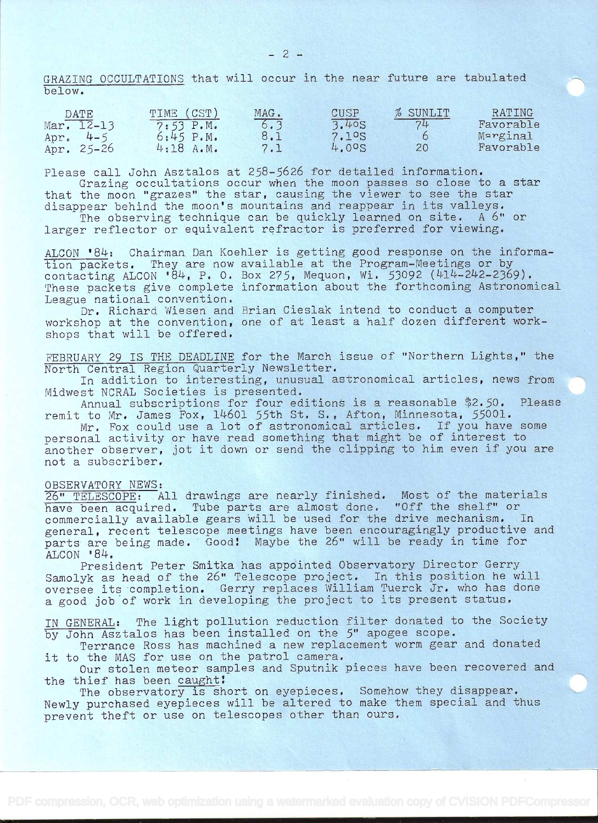GRAZING OCCULTATIONS that will occur in the near future are tabulated below.

| DATE            | TIME (CST) | MAG. | CUSP  | % SUNLIT | RATING    |  |
|-----------------|------------|------|-------|----------|-----------|--|
| Mar. 12-13      | 7:53 P.M.  | 6.3  | 3.40S | 74       | Favorable |  |
| Apr.<br>$4 - 5$ | 6:45 P.M.  | 8.1  | 7.1°S |          | Marginal  |  |
| Apr. $25-26$    | 4:18A.M.   |      | 4.005 | 20       | Favorable |  |

Please call John Asztalos at 258-5626 for detailed information.

Grazing occultations occur when the moon passes so close to a star that the moon "grazes" the star, causing the viewer to see the star disappear behind the moon's mountains and reappear in its valleys.

The observing technique can be quickly learned on site. A 6" or larger reflector or equivalent refractor is preferred for viewing.

ALCON '84: Chairman Dan Koehler is getting good response on the information packets. They are now available at the Program-Meetings or by contacting ALCON '84, P. O. Box 275, Mequon, Wi. 53092 (414-242-2369). These packets give complete information about the forthcoming Astronomical League national convention.

Dr, Richard Wiesen and Brian Cieslak intend to conduct a computer workshop at the convention, one of at least a half dozen different workshops that will be offered.

FEBRUARY 29 IS THE DEADLINE for the March issue of "Northern Lights," the North Central Region Quarterly Newsletter.

In addition to interesting, unusual astronomical articles, news from Midwest NCRAL Societies is presented.

Annual subscriptions for four editions is a reasonable \$2.50. Please remit to Mr. James Fox, 14601 55th St. S., Afton, Minnesota, 55001.

Mr. Fox could use a lot of astronomical articles. If you have some personal activity or have read something that might be of interest to another observer, jot it down or send the clipping to him even if you are not a subscriber.

## OBSERVATORY NEWS:

26" TELESCOPE: All drawings are nearly finished. Most of the materials have been acquired. Tube parts are almost done. "Off the shelf" or commercially available gears will be used for the drive mechanism. In general, recent telescope meetings have been encouragingly productive and parts are being made. Good! Maybe the 26" will be ready in time for ALCON '84.

President Peter Smitka has appointed Observatory Director Gerry Samolyk as head of the 26" Telescope project. In this position he will oversee its completion. Gerry replaces William Tuerck Jr. who has done a good job of work in developing the project to its present status,

IN GENERAL: The light pollution reduction filter donated to the Society by John Asztalos has been installed on the 5" apogee scope.

Terrance Ross has machined a new replacement worm gear and donated it to the MAS for use on the patrol camera.

Our stolen meteor samples and Sputnik pieces have been recovered and the thief has been caught!

The observatory is short on eyepieces. Somehow they disappear. Newly purchased eyepieces will be altered to make them special and thus prevent theft or use on telescopes other than ours.